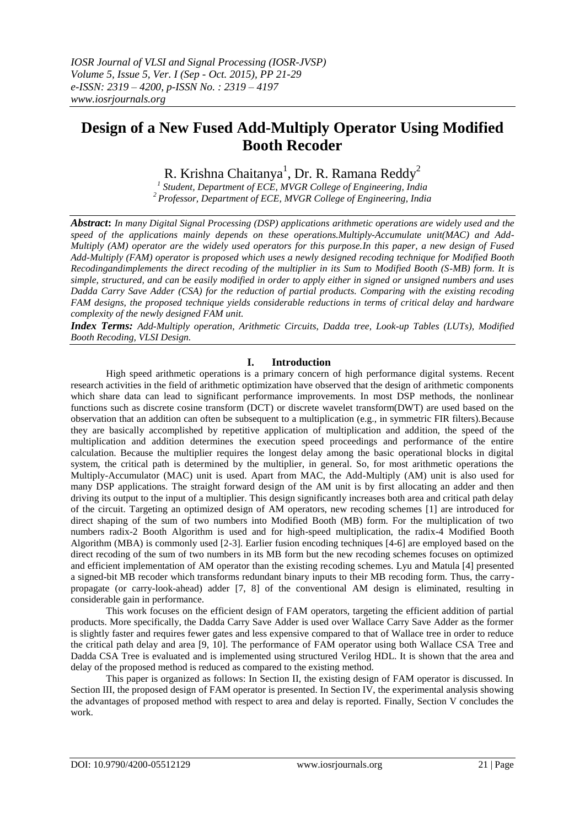# **Design of a New Fused Add-Multiply Operator Using Modified Booth Recoder**

R. Krishna Chaitanya<sup>1</sup>, Dr. R. Ramana Reddy<sup>2</sup>

*1 Student, Department of ECE, MVGR College of Engineering, India <sup>2</sup> Professor, Department of ECE, MVGR College of Engineering, India*

*Abstract***:** *In many Digital Signal Processing (DSP) applications arithmetic operations are widely used and the speed of the applications mainly depends on these operations.Multiply-Accumulate unit(MAC) and Add-Multiply (AM) operator are the widely used operators for this purpose.In this paper, a new design of Fused Add-Multiply (FAM) operator is proposed which uses a newly designed recoding technique for Modified Booth Recodingandimplements the direct recoding of the multiplier in its Sum to Modified Booth (S-MB) form. It is simple, structured, and can be easily modified in order to apply either in signed or unsigned numbers and uses Dadda Carry Save Adder (CSA) for the reduction of partial products. Comparing with the existing recoding FAM designs, the proposed technique yields considerable reductions in terms of critical delay and hardware complexity of the newly designed FAM unit.*

*Index Terms: Add-Multiply operation, Arithmetic Circuits, Dadda tree, Look-up Tables (LUTs), Modified Booth Recoding, VLSI Design.*

# **I. Introduction**

High speed arithmetic operations is a primary concern of high performance digital systems. Recent research activities in the field of arithmetic optimization have observed that the design of arithmetic components which share data can lead to significant performance improvements. In most DSP methods, the nonlinear functions such as discrete cosine transform (DCT) or discrete wavelet transform(DWT) are used based on the observation that an addition can often be subsequent to a multiplication (e.g., in symmetric FIR filters).Because they are basically accomplished by repetitive application of multiplication and addition, the speed of the multiplication and addition determines the execution speed proceedings and performance of the entire calculation. Because the multiplier requires the longest delay among the basic operational blocks in digital system, the critical path is determined by the multiplier, in general. So, for most arithmetic operations the Multiply-Accumulator (MAC) unit is used. Apart from MAC, the Add-Multiply (AM) unit is also used for many DSP applications. The straight forward design of the AM unit is by first allocating an adder and then driving its output to the input of a multiplier. This design significantly increases both area and critical path delay of the circuit. Targeting an optimized design of AM operators, new recoding schemes [1] are introduced for direct shaping of the sum of two numbers into Modified Booth (MB) form. For the multiplication of two numbers radix-2 Booth Algorithm is used and for high-speed multiplication, the radix-4 Modified Booth Algorithm (MBA) is commonly used [2-3]. Earlier fusion encoding techniques [4-6] are employed based on the direct recoding of the sum of two numbers in its MB form but the new recoding schemes focuses on optimized and efficient implementation of AM operator than the existing recoding schemes. Lyu and Matula [4] presented a signed-bit MB recoder which transforms redundant binary inputs to their MB recoding form. Thus, the carrypropagate (or carry-look-ahead) adder [7, 8] of the conventional AM design is eliminated, resulting in considerable gain in performance.

This work focuses on the efficient design of FAM operators, targeting the efficient addition of partial products. More specifically, the Dadda Carry Save Adder is used over Wallace Carry Save Adder as the former is slightly faster and requires fewer gates and less expensive compared to that of Wallace tree in order to reduce the critical path delay and area [9, 10]. The performance of FAM operator using both Wallace CSA Tree and Dadda CSA Tree is evaluated and is implemented using structured Verilog HDL. It is shown that the area and delay of the proposed method is reduced as compared to the existing method.

This paper is organized as follows: In Section II, the existing design of FAM operator is discussed. In Section III, the proposed design of FAM operator is presented. In Section IV, the experimental analysis showing the advantages of proposed method with respect to area and delay is reported. Finally, Section V concludes the work.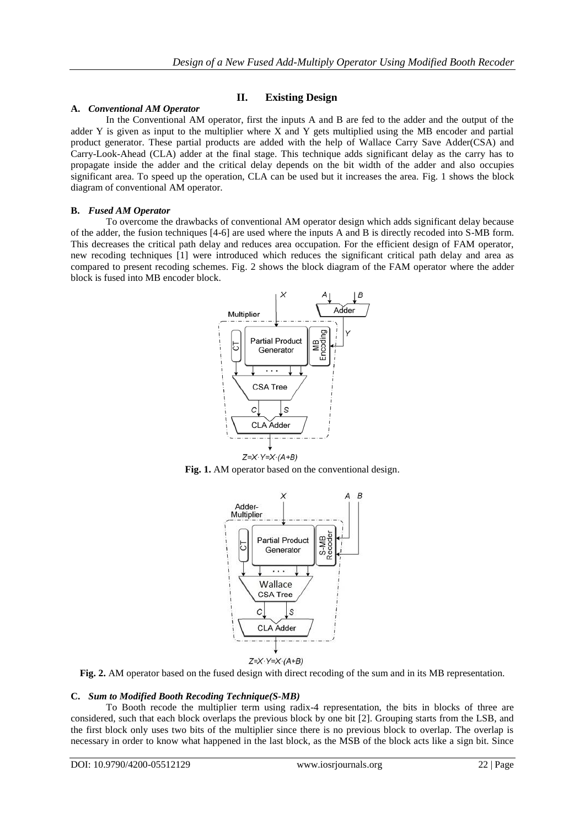# **II. Existing Design**

## **A.** *Conventional AM Operator*

In the Conventional AM operator, first the inputs A and B are fed to the adder and the output of the adder Y is given as input to the multiplier where X and Y gets multiplied using the MB encoder and partial product generator. These partial products are added with the help of Wallace Carry Save Adder(CSA) and Carry-Look-Ahead (CLA) adder at the final stage. This technique adds significant delay as the carry has to propagate inside the adder and the critical delay depends on the bit width of the adder and also occupies significant area. To speed up the operation, CLA can be used but it increases the area. Fig. 1 shows the block diagram of conventional AM operator.

## **B.** *Fused AM Operator*

To overcome the drawbacks of conventional AM operator design which adds significant delay because of the adder, the fusion techniques [4-6] are used where the inputs A and B is directly recoded into S-MB form. This decreases the critical path delay and reduces area occupation. For the efficient design of FAM operator, new recoding techniques [1] were introduced which reduces the significant critical path delay and area as compared to present recoding schemes. Fig. 2 shows the block diagram of the FAM operator where the adder block is fused into MB encoder block.







**Fig. 2.** AM operator based on the fused design with direct recoding of the sum and in its MB representation.

# **C.** *Sum to Modified Booth Recoding Technique(S-MB)*

To Booth recode the multiplier term using radix-4 representation, the bits in blocks of three are considered, such that each block overlaps the previous block by one bit [2]. Grouping starts from the LSB, and the first block only uses two bits of the multiplier since there is no previous block to overlap. The overlap is necessary in order to know what happened in the last block, as the MSB of the block acts like a sign bit. Since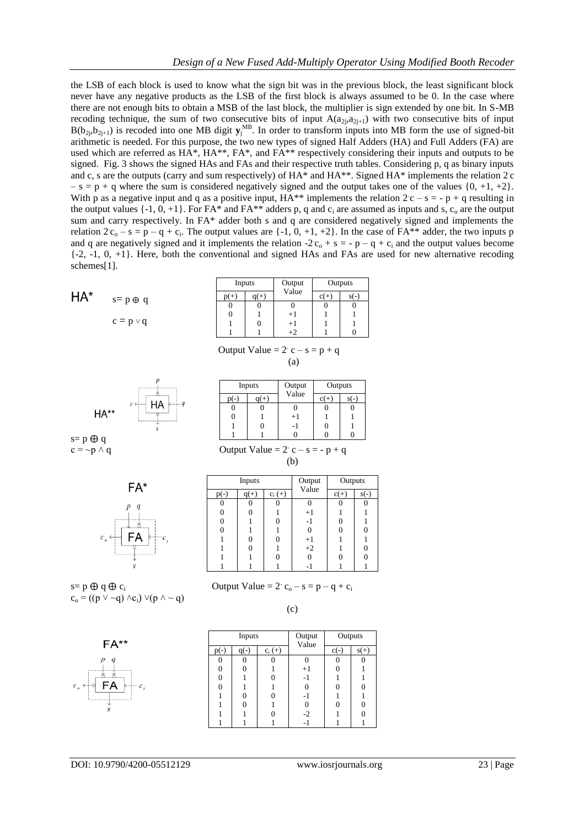the LSB of each block is used to know what the sign bit was in the previous block, the least significant block never have any negative products as the LSB of the first block is always assumed to be 0. In the case where there are not enough bits to obtain a MSB of the last block, the multiplier is sign extended by one bit. In S-MB recoding technique, the sum of two consecutive bits of input  $A(a_{2j},a_{2j+1})$  with two consecutive bits of input  $B(b_{2j}, b_{2j+1})$  is recoded into one MB digit  $y_j^{\text{MB}}$ . In order to transform inputs into MB form the use of signed-bit arithmetic is needed. For this purpose, the two new types of signed Half Adders (HA) and Full Adders (FA) are used which are referred as HA\*, HA\*\*, FA\*, and FA\*\* respectively considering their inputs and outputs to be signed. Fig. 3 shows the signed HAs and FAs and their respective truth tables. Considering p, q as binary inputs and c, s are the outputs (carry and sum respectively) of HA\* and HA\*\*. Signed HA\* implements the relation 2 c  $-$  s = p + q where the sum is considered negatively signed and the output takes one of the values {0, +1, +2}. With p as a negative input and q as a positive input,  $HA^{**}$  implements the relation  $2c - s = -p + q$  resulting in the output values  $\{-1, 0, +1\}$ . For FA\* and FA\*\* adders p, q and  $c_i$  are assumed as inputs and s,  $c_o$  are the output sum and carry respectively. In FA\* adder both s and q are considered negatively signed and implements the relation  $2c_0 - s = p - q + c_i$ . The output values are  $\{-1, 0, +1, +2\}$ . In the case of FA\*\* adder, the two inputs p and q are negatively signed and it implements the relation  $-2c_0 + s = -p - q + c_i$  and the output values become  $\{-2, -1, 0, +1\}$ . Here, both the conventional and signed HAs and FAs are used for new alternative recoding schemes[1].

|    |                | Inputs         |      | Output | Outputs        |        |
|----|----------------|----------------|------|--------|----------------|--------|
| Δ* | $s=p \oplus q$ | $p(+)$         | a(+) | Value  | $c(+)$         | $s(-)$ |
|    |                | $\overline{0}$ | υ    |        | $\overline{0}$ |        |
|    |                | $\overline{0}$ |      | $+1$   |                |        |
|    | $c = p \vee q$ |                |      | $+1$   |                |        |
|    |                |                |      | $+2$   |                |        |

| Output Value = $2 \cdot c - s = p + q$ |
|----------------------------------------|
| (a)                                    |



Inputs Output Value **Outputs** p(-) q(+) c(+) s(-)  $\Omega$   $+1$ -1  $\overline{0}$   $\Omega$   $\Omega$ 

(b)

 $s=p \oplus q$  $c = -p \wedge q$  Output Value = 2  $c - s = -p + q$ 



| Inputs |  |           | Output | Outputs |    |
|--------|--|-----------|--------|---------|----|
|        |  | $c_i$ (+) | Value  | $c(+)$  | S( |
|        |  |           |        |         |    |
| 0      |  |           | $+1$   |         |    |
| 0      |  |           | - 1    |         |    |
| 0      |  |           |        |         |    |
|        |  |           | $+1$   |         |    |
|        |  |           | $+2$   |         | ſ  |
|        |  |           |        |         |    |
|        |  |           |        |         |    |

 $(c)$ 

 $s=p \oplus q \oplus c_i$  Output Value = 2  $c_o - s = p - q + c_i$  $c_0 = ((p \lor \sim q) \land c_i) \lor (p \land \sim q)$ 

FA\*\*

| Inputs |  |           | Output<br>Value  | Outputs |    |
|--------|--|-----------|------------------|---------|----|
|        |  | $c_i$ (+) |                  | $c(-$   | s( |
|        |  |           |                  |         |    |
|        |  |           | $+1$             |         |    |
|        |  |           | -1               |         |    |
|        |  |           |                  |         |    |
|        |  |           | -1               |         |    |
|        |  |           | $\boldsymbol{0}$ |         |    |
|        |  |           | $-2$             |         |    |
|        |  |           |                  |         |    |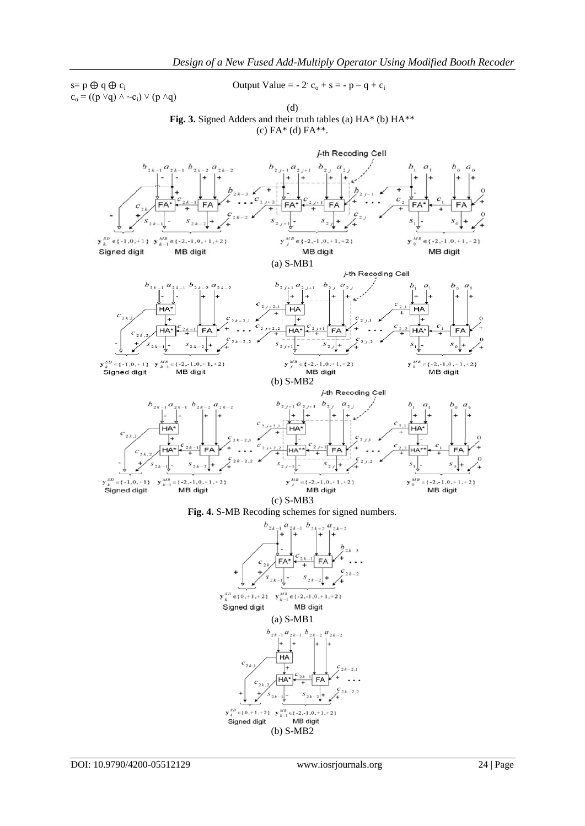$c_o = ((p \lor q) \land \sim c_i) \lor (p \land q)$ 

 $s=p \oplus q \oplus c_i$  Output Value = - 2  $c_o + s = -p - q + c_i$ 

(d) Fig. 3. Signed Adders and their truth tables (a) HA\* (b) HA\*\*  $(c)$  FA\*  $(d)$  FA\*\*.





DOI: 10.9790/4200-05512129 www.iosrjournals.org 24 | Page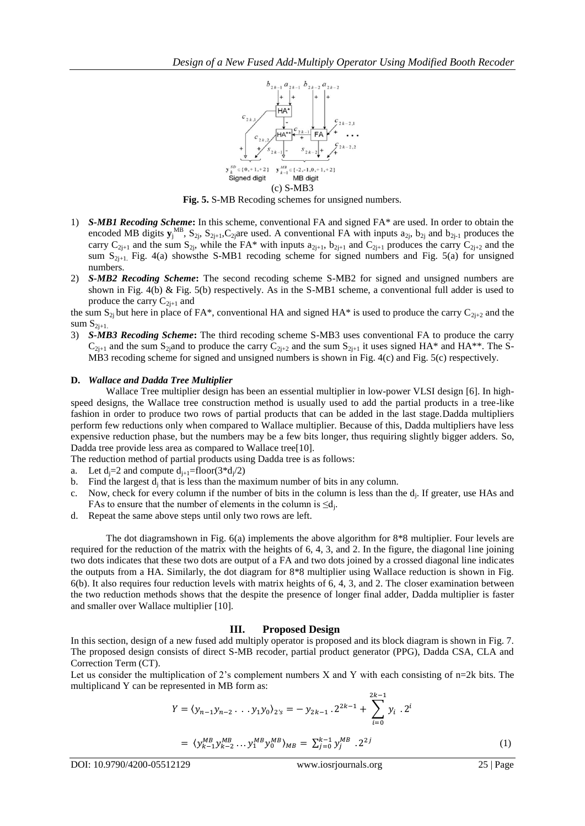

**Fig. 5.** S-MB Recoding schemes for unsigned numbers.

- 1) *S-MB1 Recoding Scheme***:** In this scheme, conventional FA and signed FA\* are used. In order to obtain the encoded MB digits  $\mathbf{y}_j^{MB}$ ,  $\mathbf{S}_{2j}$ ,  $\mathbf{S}_{2j+1}$ ,  $\mathbf{C}_{2j}$  are used. A conventional FA with inputs  $a_{2j}$ ,  $b_{2j}$  and  $b_{2j-1}$  produces the carry  $C_{2j+1}$  and the sum  $S_{2j}$ , while the FA\* with inputs  $a_{2j+1}$ ,  $b_{2j+1}$  and  $C_{2j+1}$  produces the carry  $C_{2j+2}$  and the sum  $S_{2i+1}$ . Fig. 4(a) shows the S-MB1 recoding scheme for signed numbers and Fig. 5(a) for unsigned numbers.
- 2) *S-MB2 Recoding Scheme***:** The second recoding scheme S-MB2 for signed and unsigned numbers are shown in Fig.  $4(b)$  & Fig.  $5(b)$  respectively. As in the S-MB1 scheme, a conventional full adder is used to produce the carry  $C_{2j+1}$  and

the sum  $S_{2i}$  but here in place of FA\*, conventional HA and signed HA\* is used to produce the carry  $C_{2i+2}$  and the sum  $S_{2i+1}$ .

3) *S-MB3 Recoding Scheme***:** The third recoding scheme S-MB3 uses conventional FA to produce the carry  $C_{2i+1}$  and the sum S<sub>2j</sub>and to produce the carry  $C_{2i+2}$  and the sum S<sub>2i+1</sub> it uses signed HA\* and HA\*\*. The S-MB3 recoding scheme for signed and unsigned numbers is shown in Fig. 4(c) and Fig. 5(c) respectively.

#### **D.** *Wallace and Dadda Tree Multiplier*

Wallace Tree multiplier design has been an essential multiplier in low-power VLSI design [6]. In highspeed designs, the Wallace tree construction method is usually used to add the partial products in a tree-like fashion in order to produce two rows of partial products that can be added in the last stage.Dadda multipliers perform few reductions only when compared to Wallace multiplier. Because of this, Dadda multipliers have less expensive reduction phase, but the numbers may be a few bits longer, thus requiring slightly bigger adders. So, Dadda tree provide less area as compared to Wallace tree[10].

The reduction method of partial products using Dadda tree is as follows:

- a. Let  $d_j = 2$  and compute  $d_{j+1} = floor(3*d_j/2)$
- b. Find the largest  $d_j$  that is less than the maximum number of bits in any column.
- c. Now, check for every column if the number of bits in the column is less than the  $d_j$ . If greater, use HAs and FAs to ensure that the number of elements in the column is  $\leq d_j$ .
- d. Repeat the same above steps until only two rows are left.

The dot diagramshown in Fig. 6(a) implements the above algorithm for 8\*8 multiplier. Four levels are required for the reduction of the matrix with the heights of 6, 4, 3, and 2. In the figure, the diagonal line joining two dots indicates that these two dots are output of a FA and two dots joined by a crossed diagonal line indicates the outputs from a HA. Similarly, the dot diagram for 8\*8 multiplier using Wallace reduction is shown in Fig. 6(b). It also requires four reduction levels with matrix heights of 6, 4, 3, and 2. The closer examination between the two reduction methods shows that the despite the presence of longer final adder, Dadda multiplier is faster and smaller over Wallace multiplier [10].

#### **III. Proposed Design**

In this section, design of a new fused add multiply operator is proposed and its block diagram is shown in Fig. 7. The proposed design consists of direct S-MB recoder, partial product generator (PPG), Dadda CSA, CLA and Correction Term (CT).

Let us consider the multiplication of 2's complement numbers X and Y with each consisting of n=2k bits. The multiplicand Y can be represented in MB form as:  $2k-1$ 

$$
Y = \langle y_{n-1}y_{n-2} \dots y_1y_0 \rangle_{2^{\prime}s} = -y_{2k-1} \cdot 2^{2k-1} + \sum_{i=0}^{2k-1} y_i \cdot 2^i
$$
  
=  $\langle y_{k-1}^{MB} y_{k-2}^{MB} \dots y_1^{MB} y_0^{MB} \rangle_{MB} = \sum_{j=0}^{k-1} y_j^{MB} \cdot 2^{2j}$  (1)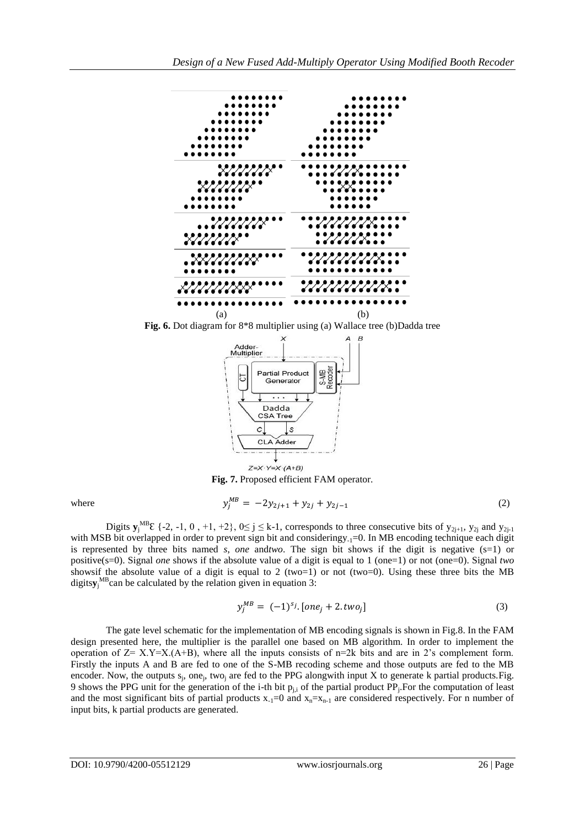

**Fig. 6.** Dot diagram for 8<sup>\*8</sup> multiplier using (a) Wallace tree (b)Dadda tree



**Fig. 7.** Proposed efficient FAM operator.

$$
y_j^{MB} = -2y_{2j+1} + y_{2j} + y_{2j-1}
$$
 (2)

Digits  $\mathbf{y}_j^{\text{MB}}\boldsymbol{\epsilon}$  {-2, -1, 0, +1, +2},  $0 \le j \le k-1$ , corresponds to three consecutive bits of  $y_{2j+1}$ ,  $y_{2j}$  and  $y_{2j-1}$ with MSB bit overlapped in order to prevent sign bit and consideringy<sub>-1</sub>=0. In MB encoding technique each digit is represented by three bits named *s*, *one* and*two*. The sign bit shows if the digit is negative (s=1) or positive(s=0). Signal *one* shows if the absolute value of a digit is equal to 1 (one=1) or not (one=0). Signal *two*  showsif the absolute value of a digit is equal to 2 (two=1) or not (two=0). Using these three bits the MB digits**y**<sup>j</sup> MBcan be calculated by the relation given in equation 3:

$$
y_i^{MB} = (-1)^{s_j} \cdot [one_i + 2 \cdot two_i] \tag{3}
$$

The gate level schematic for the implementation of MB encoding signals is shown in Fig.8. In the FAM design presented here, the multiplier is the parallel one based on MB algorithm. In order to implement the operation of  $Z = X.Y = X(A+B)$ , where all the inputs consists of  $n=2k$  bits and are in 2's complement form. Firstly the inputs A and B are fed to one of the S-MB recoding scheme and those outputs are fed to the MB encoder. Now, the outputs  $s_j$ , one<sub>j</sub>, two<sub>j</sub> are fed to the PPG alongwith input X to generate k partial products. Fig. 9 shows the PPG unit for the generation of the i-th bit  $p_{j,i}$  of the partial product PP<sub>j</sub>. For the computation of least and the most significant bits of partial products  $x_{-1}=0$  and  $x_{n}=x_{n-1}$  are considered respectively. For n number of input bits, k partial products are generated.

where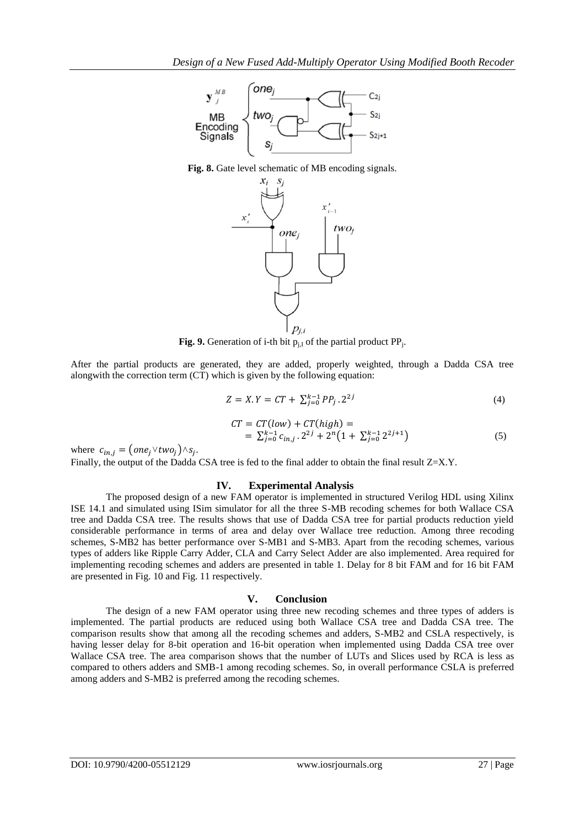

**Fig. 8.** Gate level schematic of MB encoding signals.



**Fig. 9.** Generation of i-th bit  $p_{j,l}$  of the partial product  $PP_j$ .

After the partial products are generated, they are added, properly weighted, through a Dadda CSA tree alongwith the correction term (CT) which is given by the following equation:

$$
Z = X. Y = CT + \sum_{j=0}^{k-1} PP_j \cdot 2^{2j} \tag{4}
$$

$$
CT = CT(low) + CT(high) =
$$
  
=  $\sum_{j=0}^{k-1} c_{in,j} \cdot 2^{2j} + 2^n (1 + \sum_{j=0}^{k-1} 2^{2j+1})$  (5)

where  $c_{in,i} = (one_i \vee two_i) \wedge s_i$ .

Finally, the output of the Dadda CSA tree is fed to the final adder to obtain the final result Z=X.Y.

#### **IV. Experimental Analysis**

The proposed design of a new FAM operator is implemented in structured Verilog HDL using Xilinx ISE 14.1 and simulated using ISim simulator for all the three S-MB recoding schemes for both Wallace CSA tree and Dadda CSA tree. The results shows that use of Dadda CSA tree for partial products reduction yield considerable performance in terms of area and delay over Wallace tree reduction. Among three recoding schemes, S-MB2 has better performance over S-MB1 and S-MB3. Apart from the recoding schemes, various types of adders like Ripple Carry Adder, CLA and Carry Select Adder are also implemented. Area required for implementing recoding schemes and adders are presented in table 1. Delay for 8 bit FAM and for 16 bit FAM are presented in Fig. 10 and Fig. 11 respectively.

#### **V. Conclusion**

The design of a new FAM operator using three new recoding schemes and three types of adders is implemented. The partial products are reduced using both Wallace CSA tree and Dadda CSA tree. The comparison results show that among all the recoding schemes and adders, S-MB2 and CSLA respectively, is having lesser delay for 8-bit operation and 16-bit operation when implemented using Dadda CSA tree over Wallace CSA tree. The area comparison shows that the number of LUTs and Slices used by RCA is less as compared to others adders and SMB-1 among recoding schemes. So, in overall performance CSLA is preferred among adders and S-MB2 is preferred among the recoding schemes.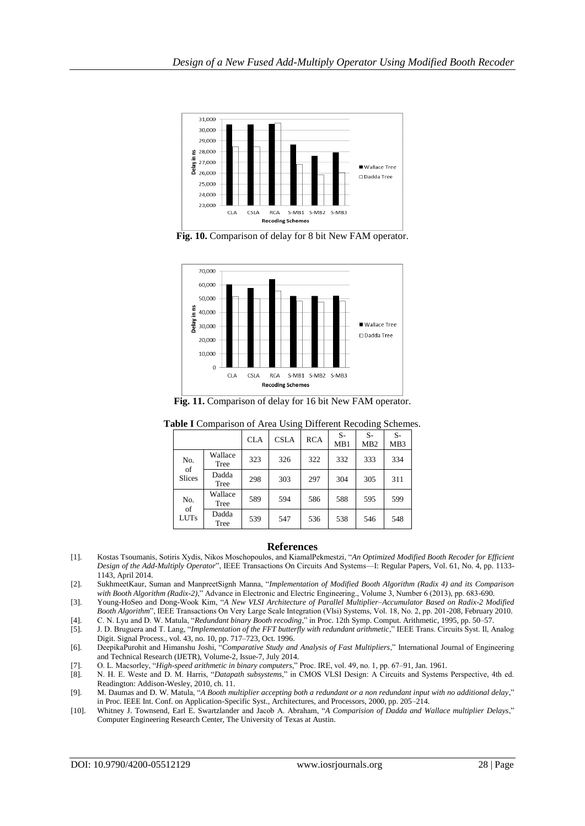

**Fig. 10.** Comparison of delay for 8 bit New FAM operator.



**Fig. 11.** Comparison of delay for 16 bit New FAM operator.

|               |                 | <b>CLA</b> | <b>CSLA</b> | <b>RCA</b> | $S-$<br>MB1 | $S-$<br>M <sub>B</sub> 2 | $S-$<br>MB <sub>3</sub> |
|---------------|-----------------|------------|-------------|------------|-------------|--------------------------|-------------------------|
| No.<br>of     | Wallace<br>Tree | 323        | 326         | 322        | 332         | 333                      | 334                     |
| <b>Slices</b> | Dadda<br>Tree   | 298        | 303         | 297        | 304         | 305                      | 311                     |
| No.<br>of     | Wallace<br>Tree | 589        | 594         | 586        | 588         | 595                      | 599                     |
| <b>LUTs</b>   | Dadda<br>Tree   | 539        | 547         | 536        | 538         | 546                      | 548                     |

**Table I** Comparison of Area Using Different Recoding Schemes.

#### **References**

- [1]. Kostas Tsoumanis, Sotiris Xydis, Nikos Moschopoulos, and KiamalPekmestzi, "*An Optimized Modified Booth Recoder for Efficient Design of the Add-Multiply Operator*", IEEE Transactions On Circuits And Systems—I: Regular Papers, Vol. 61, No. 4, pp. 1133- 1143, April 2014.
- [2]. SukhmeetKaur, Suman and ManpreetSignh Manna, "*Implementation of Modified Booth Algorithm (Radix 4) and its Comparison with Booth Algorithm (Radix-2)*," Advance in Electronic and Electric Engineering., Volume 3, Number 6 (2013), pp. 683-690.
- [3]. Young-HoSeo and Dong-Wook Kim, "*A New VLSI Architecture of Parallel Multiplier–Accumulator Based on Radix-2 Modified Booth Algorithm*", IEEE Transactions On Very Large Scale Integration (Vlsi) Systems, Vol. 18, No. 2, pp. 201-208, February 2010.
- [4]. C. N. Lyu and D. W. Matula, "*Redundant binary Booth recoding*," in Proc. 12th Symp. Comput. Arithmetic, 1995, pp. 50–57.
- [5]. J. D. Bruguera and T. Lang, "*Implementation of the FFT butterfly with redundant arithmetic*," IEEE Trans. Circuits Syst. Il, Analog Digit. Signal Process., vol. 43, no. 10, pp. 717–723, Oct. 1996.
- [6]. DeepikaPurohit and Himanshu Joshi, "*Comparative Study and Analysis of Fast Multipliers*," International Journal of Engineering and Technical Research (IJETR), Volume-2, Issue-7, July 2014.
- [7]. O. L. Macsorley, "*High-speed arithmetic in binary computers*," Proc. IRE, vol. 49, no. 1, pp. 67–91, Jan. 1961.
- [8]. N. H. E. Weste and D. M. Harris, "*Datapath subsystems*," in CMOS VLSI Design: A Circuits and Systems Perspective, 4th ed. Readington: Addison-Wesley, 2010, ch. 11.
- [9]. M. Daumas and D. W. Matula, "*A Booth multiplier accepting both a redundant or a non redundant input with no additional delay*," in Proc. IEEE Int. Conf. on Application-Specific Syst., Architectures, and Processors, 2000, pp. 205–214.
- [10]. Whitney J. Townsend, Earl E. Swartzlander and Jacob A. Abraham, "*A Comparision of Dadda and Wallace multiplier Delays*," Computer Engineering Research Center, The University of Texas at Austin.